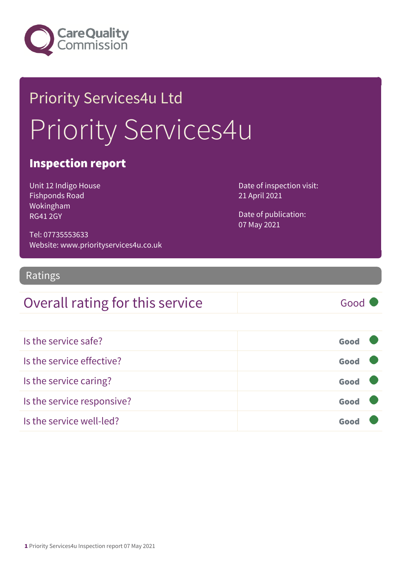

# Priority Services4u Ltd Priority Services4u

### Inspection report

Unit 12 Indigo House Fishponds Road Wokingham RG41 2GY

Date of inspection visit: 21 April 2021

Date of publication: 07 May 2021

Tel: 07735553633 Website: www.priorityservices4u.co.uk

### Ratings

### Overall rating for this service Good

| Is the service safe?       | Good |
|----------------------------|------|
| Is the service effective?  | Good |
| Is the service caring?     | Good |
| Is the service responsive? | Good |
| Is the service well-led?   | Goo  |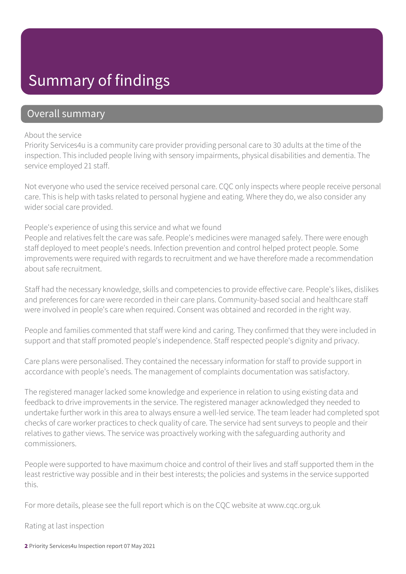### Summary of findings

### Overall summary

#### About the service

Priority Services4u is a community care provider providing personal care to 30 adults at the time of the inspection. This included people living with sensory impairments, physical disabilities and dementia. The service employed 21 staff.

Not everyone who used the service received personal care. CQC only inspects where people receive personal care. This is help with tasks related to personal hygiene and eating. Where they do, we also consider any wider social care provided.

#### People's experience of using this service and what we found

People and relatives felt the care was safe. People's medicines were managed safely. There were enough staff deployed to meet people's needs. Infection prevention and control helped protect people. Some improvements were required with regards to recruitment and we have therefore made a recommendation about safe recruitment.

Staff had the necessary knowledge, skills and competencies to provide effective care. People's likes, dislikes and preferences for care were recorded in their care plans. Community-based social and healthcare staff were involved in people's care when required. Consent was obtained and recorded in the right way.

People and families commented that staff were kind and caring. They confirmed that they were included in support and that staff promoted people's independence. Staff respected people's dignity and privacy.

Care plans were personalised. They contained the necessary information for staff to provide support in accordance with people's needs. The management of complaints documentation was satisfactory.

The registered manager lacked some knowledge and experience in relation to using existing data and feedback to drive improvements in the service. The registered manager acknowledged they needed to undertake further work in this area to always ensure a well-led service. The team leader had completed spot checks of care worker practices to check quality of care. The service had sent surveys to people and their relatives to gather views. The service was proactively working with the safeguarding authority and commissioners.

People were supported to have maximum choice and control of their lives and staff supported them in the least restrictive way possible and in their best interests; the policies and systems in the service supported this.

For more details, please see the full report which is on the CQC website at www.cqc.org.uk

Rating at last inspection

2 Priority Services4u Inspection report 07 May 2021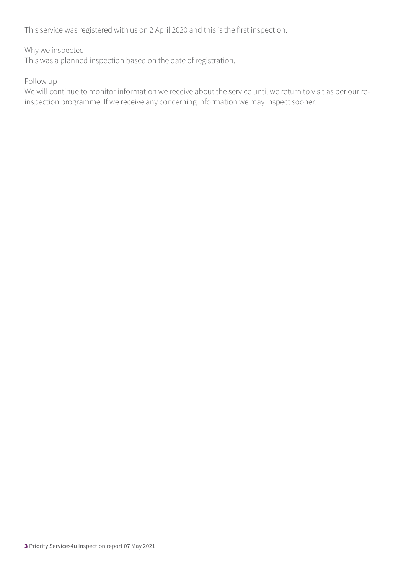This service was registered with us on 2 April 2020 and this is the first inspection.

#### Why we inspected

This was a planned inspection based on the date of registration.

#### Follow up

We will continue to monitor information we receive about the service until we return to visit as per our reinspection programme. If we receive any concerning information we may inspect sooner.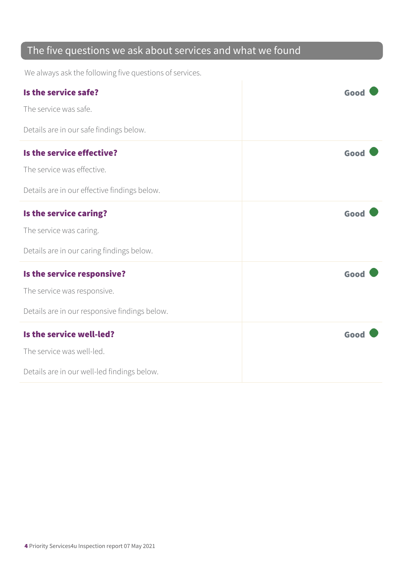### The five questions we ask about services and what we found

We always ask the following five questions of services.

| Is the service safe?                          | Good |
|-----------------------------------------------|------|
| The service was safe.                         |      |
| Details are in our safe findings below.       |      |
| Is the service effective?                     | Good |
| The service was effective.                    |      |
| Details are in our effective findings below.  |      |
| Is the service caring?                        | Good |
| The service was caring.                       |      |
| Details are in our caring findings below.     |      |
| Is the service responsive?                    | Good |
| The service was responsive.                   |      |
| Details are in our responsive findings below. |      |
| Is the service well-led?                      | Good |
| The service was well-led.                     |      |
| Details are in our well-led findings below.   |      |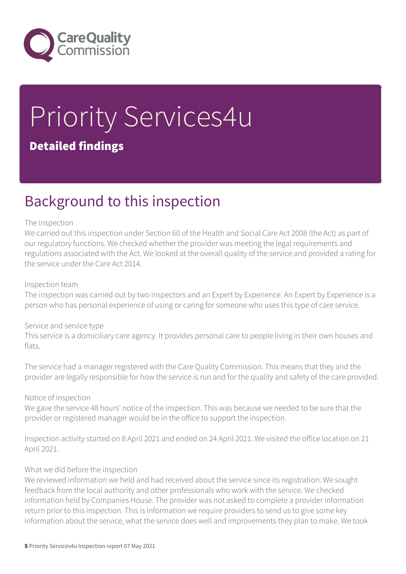

# Priority Services4u Detailed findings

### Background to this inspection

#### The inspection

We carried out this inspection under Section 60 of the Health and Social Care Act 2008 (the Act) as part of our regulatory functions. We checked whether the provider was meeting the legal requirements and regulations associated with the Act. We looked at the overall quality of the service and provided a rating for the service under the Care Act 2014.

#### Inspection team

The inspection was carried out by two inspectors and an Expert by Experience. An Expert by Experience is a person who has personal experience of using or caring for someone who uses this type of care service.

#### Service and service type

This service is a domiciliary care agency. It provides personal care to people living in their own houses and flats.

The service had a manager registered with the Care Quality Commission. This means that they and the provider are legally responsible for how the service is run and for the quality and safety of the care provided.

#### Notice of inspection

We gave the service 48 hours' notice of the inspection. This was because we needed to be sure that the provider or registered manager would be in the office to support the inspection.

Inspection activity started on 8 April 2021 and ended on 24 April 2021. We visited the office location on 21 April 2021.

#### What we did before the inspection

We reviewed information we held and had received about the service since its registration. We sought feedback from the local authority and other professionals who work with the service. We checked information held by Companies House. The provider was not asked to complete a provider information return prior to this inspection. This is information we require providers to send us to give some key information about the service, what the service does well and improvements they plan to make. We took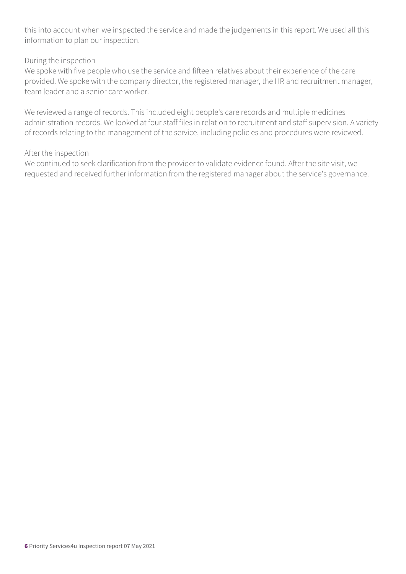this into account when we inspected the service and made the judgements in this report. We used all this information to plan our inspection.

#### During the inspection

We spoke with five people who use the service and fifteen relatives about their experience of the care provided. We spoke with the company director, the registered manager, the HR and recruitment manager, team leader and a senior care worker.

We reviewed a range of records. This included eight people's care records and multiple medicines administration records. We looked at four staff files in relation to recruitment and staff supervision. A variety of records relating to the management of the service, including policies and procedures were reviewed.

#### After the inspection

We continued to seek clarification from the provider to validate evidence found. After the site visit, we requested and received further information from the registered manager about the service's governance.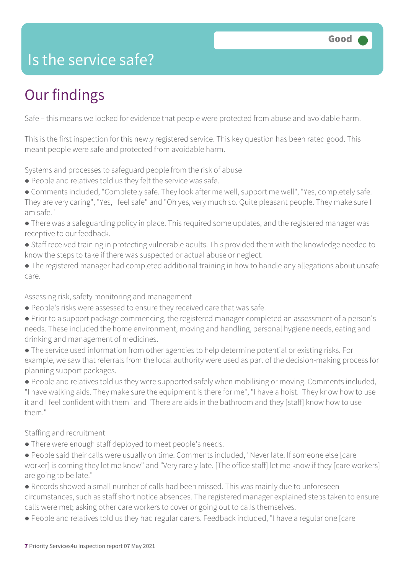### Is the service safe?

# Our findings

Safe – this means we looked for evidence that people were protected from abuse and avoidable harm.

This is the first inspection for this newly registered service. This key question has been rated good. This meant people were safe and protected from avoidable harm.

Systems and processes to safeguard people from the risk of abuse

- People and relatives told us they felt the service was safe.
- Comments included, "Completely safe. They look after me well, support me well", "Yes, completely safe. They are very caring", "Yes, I feel safe" and "Oh yes, very much so. Quite pleasant people. They make sure I am safe."
- There was a safeguarding policy in place. This required some updates, and the registered manager was receptive to our feedback.
- Staff received training in protecting vulnerable adults. This provided them with the knowledge needed to know the steps to take if there was suspected or actual abuse or neglect.
- The registered manager had completed additional training in how to handle any allegations about unsafe care.

Assessing risk, safety monitoring and management

- People's risks were assessed to ensure they received care that was safe.
- Prior to a support package commencing, the registered manager completed an assessment of a person's needs. These included the home environment, moving and handling, personal hygiene needs, eating and drinking and management of medicines.
- The service used information from other agencies to help determine potential or existing risks. For example, we saw that referrals from the local authority were used as part of the decision-making process for planning support packages.

● People and relatives told us they were supported safely when mobilising or moving. Comments included, "I have walking aids. They make sure the equipment is there for me", "I have a hoist. They know how to use it and I feel confident with them" and "There are aids in the bathroom and they [staff] know how to use them"

Staffing and recruitment

- There were enough staff deployed to meet people's needs.
- People said their calls were usually on time. Comments included, "Never late. If someone else [care worker] is coming they let me know" and "Very rarely late. [The office staff] let me know if they [care workers] are going to be late."
- Records showed a small number of calls had been missed. This was mainly due to unforeseen circumstances, such as staff short notice absences. The registered manager explained steps taken to ensure calls were met; asking other care workers to cover or going out to calls themselves.
- People and relatives told us they had regular carers. Feedback included, "I have a regular one [care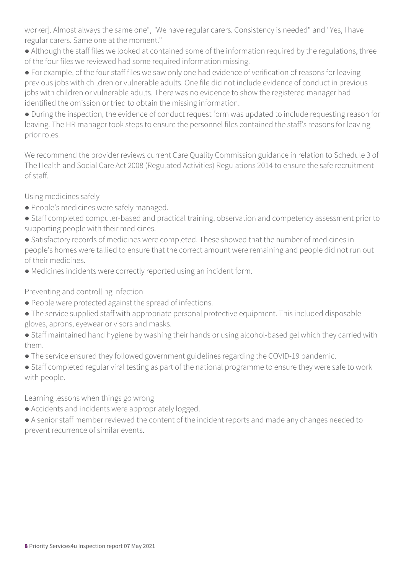worker]. Almost always the same one", "We have regular carers. Consistency is needed" and "Yes, I have regular carers. Same one at the moment."

- Although the staff files we looked at contained some of the information required by the regulations, three of the four files we reviewed had some required information missing.
- For example, of the four staff files we saw only one had evidence of verification of reasons for leaving previous jobs with children or vulnerable adults. One file did not include evidence of conduct in previous jobs with children or vulnerable adults. There was no evidence to show the registered manager had identified the omission or tried to obtain the missing information.

● During the inspection, the evidence of conduct request form was updated to include requesting reason for leaving. The HR manager took steps to ensure the personnel files contained the staff's reasons for leaving prior roles.

We recommend the provider reviews current Care Quality Commission guidance in relation to Schedule 3 of The Health and Social Care Act 2008 (Regulated Activities) Regulations 2014 to ensure the safe recruitment of staff.

Using medicines safely

- People's medicines were safely managed.
- Staff completed computer-based and practical training, observation and competency assessment prior to supporting people with their medicines.
- Satisfactory records of medicines were completed. These showed that the number of medicines in people's homes were tallied to ensure that the correct amount were remaining and people did not run out of their medicines.
- Medicines incidents were correctly reported using an incident form.

Preventing and controlling infection

- People were protected against the spread of infections.
- The service supplied staff with appropriate personal protective equipment. This included disposable gloves, aprons, eyewear or visors and masks.
- Staff maintained hand hygiene by washing their hands or using alcohol-based gel which they carried with them.
- The service ensured they followed government guidelines regarding the COVID-19 pandemic.
- Staff completed regular viral testing as part of the national programme to ensure they were safe to work with people.

Learning lessons when things go wrong

- Accidents and incidents were appropriately logged.
- A senior staff member reviewed the content of the incident reports and made any changes needed to prevent recurrence of similar events.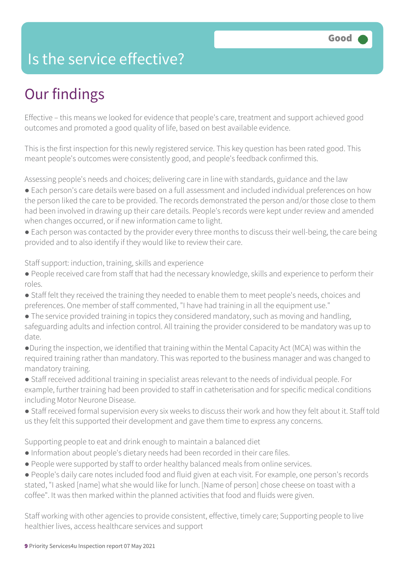### Is the service effective?

# Our findings

Effective – this means we looked for evidence that people's care, treatment and support achieved good outcomes and promoted a good quality of life, based on best available evidence.

This is the first inspection for this newly registered service. This key question has been rated good. This meant people's outcomes were consistently good, and people's feedback confirmed this.

Assessing people's needs and choices; delivering care in line with standards, guidance and the law

- Each person's care details were based on a full assessment and included individual preferences on how the person liked the care to be provided. The records demonstrated the person and/or those close to them had been involved in drawing up their care details. People's records were kept under review and amended when changes occurred, or if new information came to light.
- Each person was contacted by the provider every three months to discuss their well-being, the care being provided and to also identify if they would like to review their care.

Staff support: induction, training, skills and experience

- People received care from staff that had the necessary knowledge, skills and experience to perform their roles.
- Staff felt they received the training they needed to enable them to meet people's needs, choices and preferences. One member of staff commented, "I have had training in all the equipment use."
- The service provided training in topics they considered mandatory, such as moving and handling, safeguarding adults and infection control. All training the provider considered to be mandatory was up to date.
- ●During the inspection, we identified that training within the Mental Capacity Act (MCA) was within the required training rather than mandatory. This was reported to the business manager and was changed to mandatory training.
- Staff received additional training in specialist areas relevant to the needs of individual people. For example, further training had been provided to staff in catheterisation and for specific medical conditions including Motor Neurone Disease.
- Staff received formal supervision every six weeks to discuss their work and how they felt about it. Staff told us they felt this supported their development and gave them time to express any concerns.

Supporting people to eat and drink enough to maintain a balanced diet

- Information about people's dietary needs had been recorded in their care files.
- People were supported by staff to order healthy balanced meals from online services.

● People's daily care notes included food and fluid given at each visit. For example, one person's records stated, "I asked [name] what she would like for lunch. [Name of person] chose cheese on toast with a coffee". It was then marked within the planned activities that food and fluids were given.

Staff working with other agencies to provide consistent, effective, timely care; Supporting people to live healthier lives, access healthcare services and support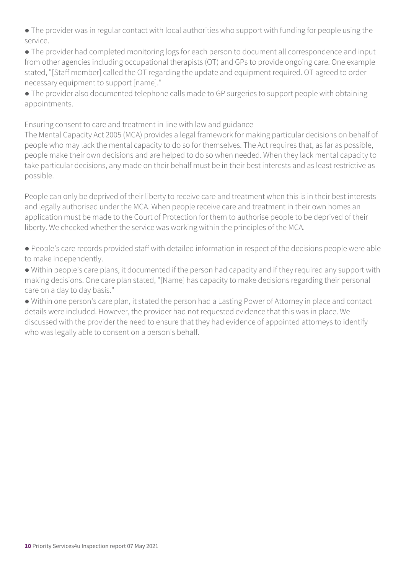● The provider was in regular contact with local authorities who support with funding for people using the service.

● The provider had completed monitoring logs for each person to document all correspondence and input from other agencies including occupational therapists (OT) and GPs to provide ongoing care. One example stated, "[Staff member] called the OT regarding the update and equipment required. OT agreed to order necessary equipment to support [name]."

● The provider also documented telephone calls made to GP surgeries to support people with obtaining appointments.

Ensuring consent to care and treatment in line with law and guidance

The Mental Capacity Act 2005 (MCA) provides a legal framework for making particular decisions on behalf of people who may lack the mental capacity to do so for themselves. The Act requires that, as far as possible, people make their own decisions and are helped to do so when needed. When they lack mental capacity to take particular decisions, any made on their behalf must be in their best interests and as least restrictive as possible.

People can only be deprived of their liberty to receive care and treatment when this is in their best interests and legally authorised under the MCA. When people receive care and treatment in their own homes an application must be made to the Court of Protection for them to authorise people to be deprived of their liberty. We checked whether the service was working within the principles of the MCA.

● People's care records provided staff with detailed information in respect of the decisions people were able to make independently.

● Within people's care plans, it documented if the person had capacity and if they required any support with making decisions. One care plan stated, "[Name] has capacity to make decisions regarding their personal care on a day to day basis."

● Within one person's care plan, it stated the person had a Lasting Power of Attorney in place and contact details were included. However, the provider had not requested evidence that this was in place. We discussed with the provider the need to ensure that they had evidence of appointed attorneys to identify who was legally able to consent on a person's behalf.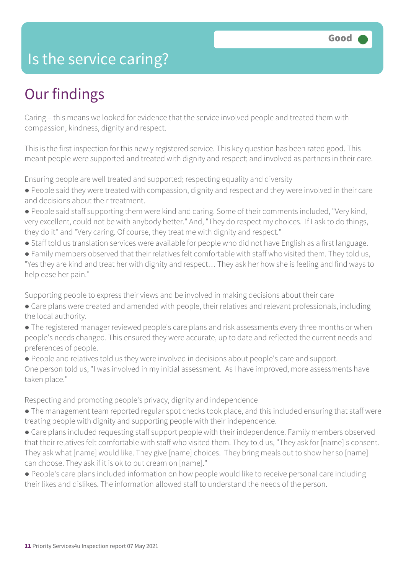### Is the service caring?

# Our findings

Caring – this means we looked for evidence that the service involved people and treated them with compassion, kindness, dignity and respect.

This is the first inspection for this newly registered service. This key question has been rated good. This meant people were supported and treated with dignity and respect; and involved as partners in their care.

Ensuring people are well treated and supported; respecting equality and diversity

- People said they were treated with compassion, dignity and respect and they were involved in their care and decisions about their treatment.
- People said staff supporting them were kind and caring. Some of their comments included, "Very kind, very excellent, could not be with anybody better." And, "They do respect my choices. If I ask to do things, they do it" and "Very caring. Of course, they treat me with dignity and respect."
- Staff told us translation services were available for people who did not have English as a first language.
- Family members observed that their relatives felt comfortable with staff who visited them. They told us, "Yes they are kind and treat her with dignity and respect… They ask her how she is feeling and find ways to help ease her pain."

Supporting people to express their views and be involved in making decisions about their care

- Care plans were created and amended with people, their relatives and relevant professionals, including the local authority.
- The registered manager reviewed people's care plans and risk assessments every three months or when people's needs changed. This ensured they were accurate, up to date and reflected the current needs and preferences of people.
- People and relatives told us they were involved in decisions about people's care and support.
- One person told us, "I was involved in my initial assessment. As I have improved, more assessments have taken place."

Respecting and promoting people's privacy, dignity and independence

- The management team reported regular spot checks took place, and this included ensuring that staff were treating people with dignity and supporting people with their independence.
- Care plans included requesting staff support people with their independence. Family members observed that their relatives felt comfortable with staff who visited them. They told us, "They ask for [name]'s consent. They ask what [name] would like. They give [name] choices. They bring meals out to show her so [name] can choose. They ask if it is ok to put cream on [name]."
- People's care plans included information on how people would like to receive personal care including their likes and dislikes. The information allowed staff to understand the needs of the person.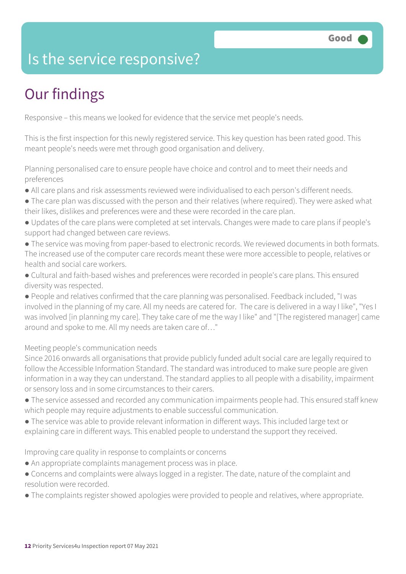### Is the service responsive?

# Our findings

Responsive – this means we looked for evidence that the service met people's needs.

This is the first inspection for this newly registered service. This key question has been rated good. This meant people's needs were met through good organisation and delivery.

Planning personalised care to ensure people have choice and control and to meet their needs and preferences

- All care plans and risk assessments reviewed were individualised to each person's different needs.
- The care plan was discussed with the person and their relatives (where required). They were asked what their likes, dislikes and preferences were and these were recorded in the care plan.
- Updates of the care plans were completed at set intervals. Changes were made to care plans if people's support had changed between care reviews.
- The service was moving from paper-based to electronic records. We reviewed documents in both formats. The increased use of the computer care records meant these were more accessible to people, relatives or health and social care workers.
- Cultural and faith-based wishes and preferences were recorded in people's care plans. This ensured diversity was respected.

● People and relatives confirmed that the care planning was personalised. Feedback included, "I was involved in the planning of my care. All my needs are catered for. The care is delivered in a way I like", "Yes I was involved [in planning my care]. They take care of me the way I like" and "[The registered manager] came around and spoke to me. All my needs are taken care of…"

#### Meeting people's communication needs

Since 2016 onwards all organisations that provide publicly funded adult social care are legally required to follow the Accessible Information Standard. The standard was introduced to make sure people are given information in a way they can understand. The standard applies to all people with a disability, impairment or sensory loss and in some circumstances to their carers.

- The service assessed and recorded any communication impairments people had. This ensured staff knew which people may require adjustments to enable successful communication.
- The service was able to provide relevant information in different ways. This included large text or explaining care in different ways. This enabled people to understand the support they received.

#### Improving care quality in response to complaints or concerns

- An appropriate complaints management process was in place.
- Concerns and complaints were always logged in a register. The date, nature of the complaint and resolution were recorded.
- The complaints register showed apologies were provided to people and relatives, where appropriate.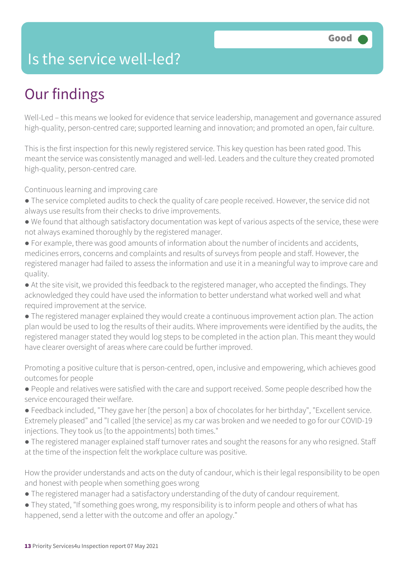### Is the service well-led?

# Our findings

Well-Led – this means we looked for evidence that service leadership, management and governance assured high-quality, person-centred care; supported learning and innovation; and promoted an open, fair culture.

This is the first inspection for this newly registered service. This key question has been rated good. This meant the service was consistently managed and well-led. Leaders and the culture they created promoted high-quality, person-centred care.

Continuous learning and improving care

- The service completed audits to check the quality of care people received. However, the service did not always use results from their checks to drive improvements.
- We found that although satisfactory documentation was kept of various aspects of the service, these were not always examined thoroughly by the registered manager.
- For example, there was good amounts of information about the number of incidents and accidents, medicines errors, concerns and complaints and results of surveys from people and staff. However, the registered manager had failed to assess the information and use it in a meaningful way to improve care and quality.
- At the site visit, we provided this feedback to the registered manager, who accepted the findings. They acknowledged they could have used the information to better understand what worked well and what required improvement at the service.
- The registered manager explained they would create a continuous improvement action plan. The action plan would be used to log the results of their audits. Where improvements were identified by the audits, the registered manager stated they would log steps to be completed in the action plan. This meant they would have clearer oversight of areas where care could be further improved.

Promoting a positive culture that is person-centred, open, inclusive and empowering, which achieves good outcomes for people

- People and relatives were satisfied with the care and support received. Some people described how the service encouraged their welfare.
- Feedback included, "They gave her [the person] a box of chocolates for her birthday", "Excellent service. Extremely pleased" and "I called [the service] as my car was broken and we needed to go for our COVID-19 injections. They took us [to the appointments] both times."
- The registered manager explained staff turnover rates and sought the reasons for any who resigned. Staff at the time of the inspection felt the workplace culture was positive.

How the provider understands and acts on the duty of candour, which is their legal responsibility to be open and honest with people when something goes wrong

- The registered manager had a satisfactory understanding of the duty of candour requirement.
- They stated, "If something goes wrong, my responsibility is to inform people and others of what has happened, send a letter with the outcome and offer an apology."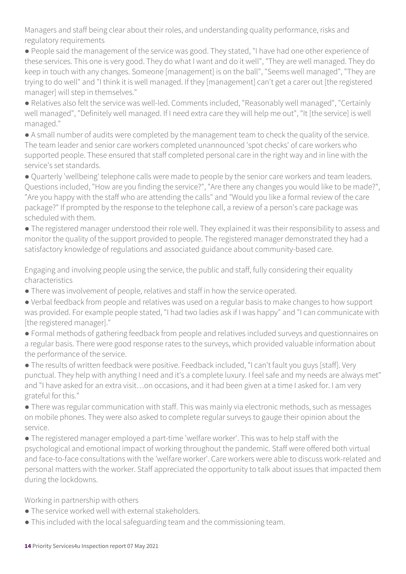Managers and staff being clear about their roles, and understanding quality performance, risks and regulatory requirements

● People said the management of the service was good. They stated, "I have had one other experience of these services. This one is very good. They do what I want and do it well", "They are well managed. They do keep in touch with any changes. Someone [management] is on the ball", "Seems well managed", "They are trying to do well" and "I think it is well managed. If they [management] can't get a carer out [the registered manager] will step in themselves."

● Relatives also felt the service was well-led. Comments included, "Reasonably well managed", "Certainly well managed", "Definitely well managed. If I need extra care they will help me out", "It [the service] is well managed."

● A small number of audits were completed by the management team to check the quality of the service. The team leader and senior care workers completed unannounced 'spot checks' of care workers who supported people. These ensured that staff completed personal care in the right way and in line with the service's set standards.

● Quarterly 'wellbeing' telephone calls were made to people by the senior care workers and team leaders. Questions included, "How are you finding the service?", "Are there any changes you would like to be made?", "Are you happy with the staff who are attending the calls" and "Would you like a formal review of the care package?" If prompted by the response to the telephone call, a review of a person's care package was scheduled with them.

● The registered manager understood their role well. They explained it was their responsibility to assess and monitor the quality of the support provided to people. The registered manager demonstrated they had a satisfactory knowledge of regulations and associated guidance about community-based care.

Engaging and involving people using the service, the public and staff, fully considering their equality characteristics

- There was involvement of people, relatives and staff in how the service operated.
- Verbal feedback from people and relatives was used on a regular basis to make changes to how support was provided. For example people stated, "I had two ladies ask if I was happy" and "I can communicate with [the registered manager]."
- Formal methods of gathering feedback from people and relatives included surveys and questionnaires on a regular basis. There were good response rates to the surveys, which provided valuable information about the performance of the service.
- The results of written feedback were positive. Feedback included, "I can't fault you guys [staff]. Very punctual. They help with anything I need and it's a complete luxury. I feel safe and my needs are always met" and "I have asked for an extra visit...on occasions, and it had been given at a time I asked for. I am very grateful for this."
- There was regular communication with staff. This was mainly via electronic methods, such as messages on mobile phones. They were also asked to complete regular surveys to gauge their opinion about the service.

● The registered manager employed a part-time 'welfare worker'. This was to help staff with the psychological and emotional impact of working throughout the pandemic. Staff were offered both virtual and face-to-face consultations with the 'welfare worker'. Care workers were able to discuss work-related and personal matters with the worker. Staff appreciated the opportunity to talk about issues that impacted them during the lockdowns.

Working in partnership with others

- The service worked well with external stakeholders.
- This included with the local safeguarding team and the commissioning team.